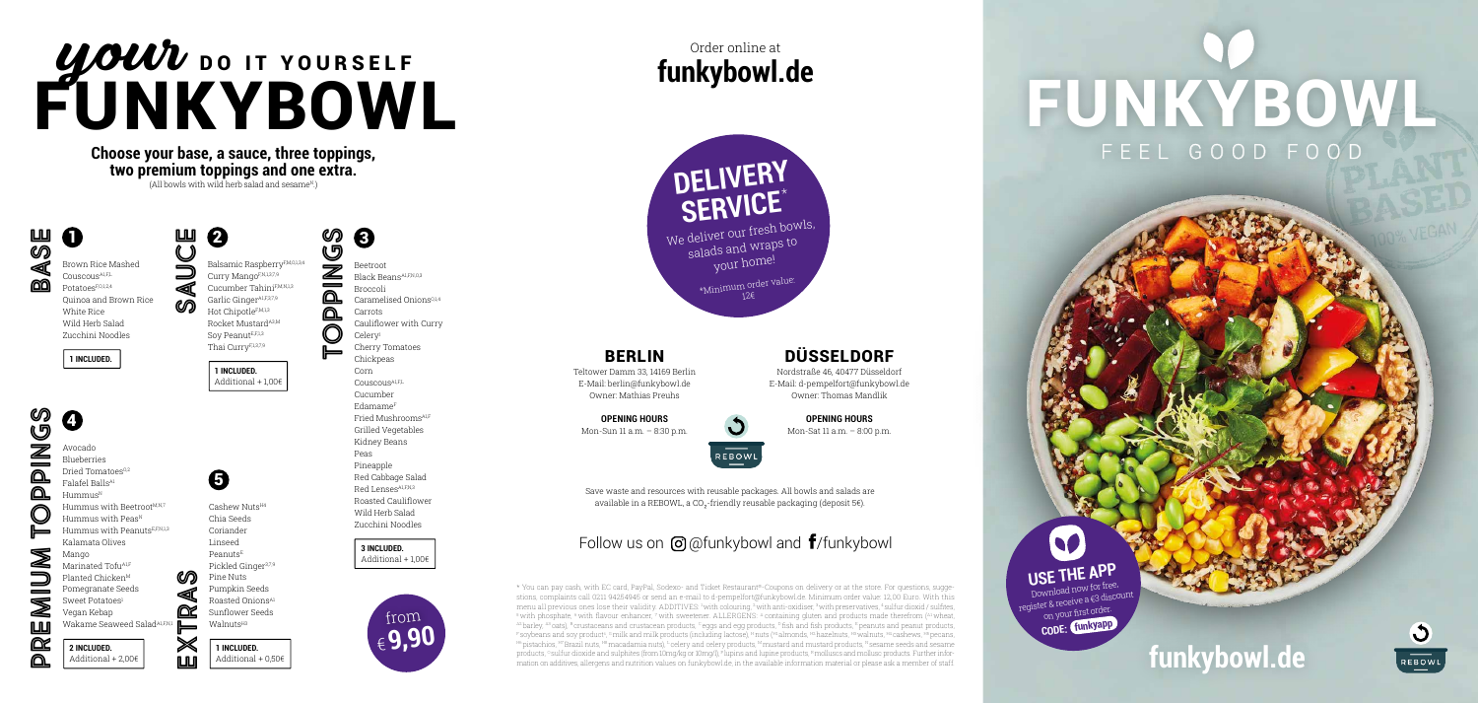### BERLIN

Teltower Damm 33, 14169 Berlin E-Mail: berlin@funkybowl.de Owner: Mathias Preuhs

> Save waste and resources with reusable packages. All bowls and salads are available in a REBOWL, a CO<sub>2</sub>-friendly reusable packaging (deposit 5€).

# Follow us on  $\Theta$  @funkybowl and  $\mathbf{f}$ /funkybowl

**OPENING HOURS** Mon-Sun 11 a.m. – 8:30 p.m.



\* You can pay cash, with EC card, PayPal, Sodexo- and Ticket Restaurant®-Coupons on delivery or at the store. For questions, suggestions, complaints call 0211 94254945 or send an e-mail to d-pempelfort@funkybowl.de. Minimum order value: 12,00 Euro. With this menu all previous ones lose their validity. ADDITIVES: 1 with colouring, 2 with anti-oxidiser, 3 with preservatives, 4 sulfur dioxid / sulfites,  $5$  with phosphate,  $6$  with flavour enhancer,  $7$  with sweetener. ALLERGENS:  $4$  containing gluten and products made therefrom  $\binom{A1}{A}$  wheat, A2 barley, A3 oats), B crustaceans and crustacean products, Ceggs and egg products, D fish and fish products, E peanuts and peanut products, F soybeans and soy products, <sup>c</sup>milk and milk products (including lactose), <sup>H</sup>nuts (<del>H</del>lalmonds, H2 hazelnuts, H3 walnuts, H4 cashews, H5 pecans, H6 pistachios, H7 Brazil nuts, H8 macadamia nuts), <sup>L</sup> celery and celery products, <sup>M</sup> mustard and mustard products, <sup>N</sup> sesame seeds and sesame products, <sup>o</sup> sulfur dioxide and sulphites (from 10mg/kg or 10mg/l), <sup>p</sup> lupins and lupine products, R molluscs and mollusc products. Further information on additives, allergens and nutrition values on funkybowl.de, in the available information material or please ask a member of staff. **Function contained and and the station of the available information material or p** 

# **funkybowl.de** Order online at

### DÜSSELDORF

Nordstraße 46, 40477 Düsseldorf E-Mail: d-pempelfort@funkybowl.de Owner: Thomas Mandlik

> **OPENING HOURS** Mon-Sat 11 a.m. – 8:00 p.m.



# UOUU DO IT YOURSELF FUNKYBOWL

ഗ 6 **TOPPINGS** G Balsamic RaspberryF,M,O,1,3,4  $\bar{\mathbb{Z}}$ Curry MangoF,N,1,3,7,9 Black BeansA1,F,N,O,3  $\equiv$ Cucumber TahiniF,M,N,1,3 <u>മ</u> Garlic Ginger<sup>A1,F,3,7,9</sup>  $\Omega$ Hot ChipotleF,M,1,3 Rocket Mustard<sup>A3,M</sup> C Soy PeanutE,F,1,3 Thai CurryF,1,3,7,9 **1 INCLUDED.**  Additional + 1,00€

> **3 INCLUDED.**  Additional  $+100$  $\epsilon$

Pomegranate Seeds Sweet Potatoes<sup>1</sup>

Vegan Kebap Wakame Seaweed Salad<sup>A1,F,I</sup>

Cashew NutsH4 Chia Seeds Coriander Linseed Peanuts<sup>E</sup> Pickled Ginger3,7,9 Pine Nuts Pumpkin Seeds Roasted OnionsA1 Sunflower Seeds Walnuts<sup>H3</sup>

 $\boldsymbol{\Theta}$ 

**Choose your base, a sauce, three toppings, two premium toppings and one extra.**  $(A)$ l bowls with wild herb salad and sesame<sup>N</sup>.

 $\boldsymbol{Q}$ 

 $\Omega$ **BASE** 

> register & receive a €3 discount on your first order.  **CODE: funkyapp**



# FUNKYBOWL FEEL GOOD FOOD



Brown Rice Mashed Couscous<sup>A1,FL</sup> PotatoesF,O,1,2,4 Quinoa and Brown Rice White Rice Wild Herb Salad Zucchini Noodles

**1 INCLUDED.** 

ၯ **PREMIUM TOPPINGS** 0  $\check{\mathcal{Q}}$ Ź Avocado Blueberries Dried Tomatoes<sup>0,2</sup>  $\Omega$ Falafel Balls<sup>A</sup>  $\Omega$  $H$ ummus $N$ Hummus with Beetroot<sup>M,N,7</sup> Hummus with Peas<sup>N</sup> Hummus with PeanutsE,F,N,1,3 Kalamata Olives Mango ◢ Marinated Tofu<sup>A1,F</sup> Planted Chicken<sup>M</sup>

 $\equiv$ Ø **LLU** œ ⋒



**SAUCE**

Beetroot

Broccoli Caramelised Onions<sup>0,1,4</sup> Carrots Cauliflower with Curry Celeryl Cherry Tomatoes Chickpeas Corn Couscous<sup>A1,FL</sup> Cucumber EdamameF Fried Mushrooms<sup>A1,1</sup> Grilled Vegetables Kidney Beans Peas Pineapple Red Cabbage Salad Red Lenses<sup>A1,F,N,3</sup> Roasted Cauliflower Wild Herb Salad Zucchini Noodles

**2 INCLUDED.**  Additional + 2,00€

**1 INCLUDED.**  Additional + 0,50€ **EXTRAS**

**USE THE APP**

Download now for free,